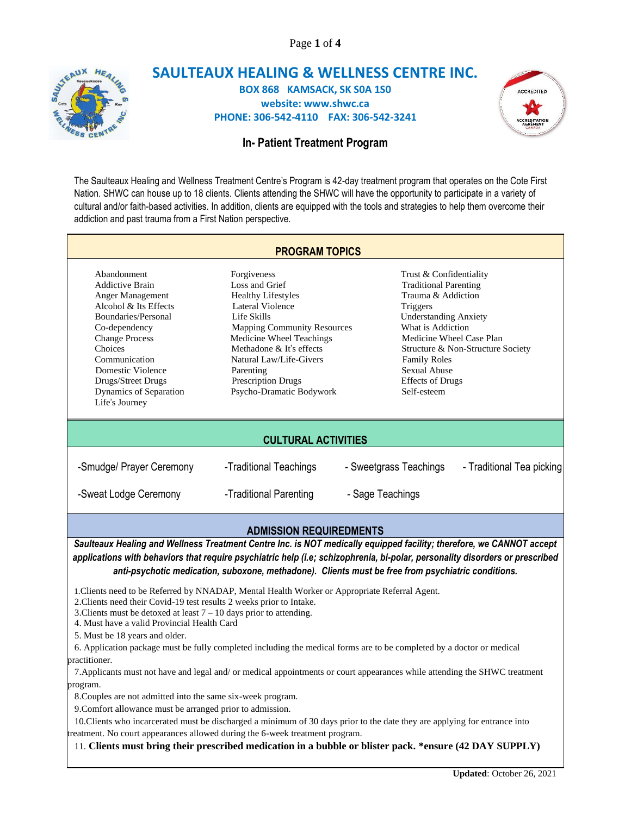Page **1** of **4**



## **SAULTEAUX HEALING & WELLNESS CENTRE INC. BOX 868 KAMSACK, SK S0A 1S0 website: www.shwc.ca PHONE: 306-542-4110 FAX: 306-542-3241**



# **In- Patient Treatment Program**

The Saulteaux Healing and Wellness Treatment Centre's Program is 42-day treatment program that operates on the Cote First Nation. SHWC can house up to 18 clients. Clients attending the SHWC will have the opportunity to participate in a variety of cultural and/or faith-based activities. In addition, clients are equipped with the tools and strategies to help them overcome their addiction and past trauma from a First Nation perspective.

|                                                                                                                                                                                                                                                                        | <b>PROGRAM TOPICS</b>                                                                                                                                                                                                                                                                 |                                                                                                                                                                                                                                                                    |                                   |  |
|------------------------------------------------------------------------------------------------------------------------------------------------------------------------------------------------------------------------------------------------------------------------|---------------------------------------------------------------------------------------------------------------------------------------------------------------------------------------------------------------------------------------------------------------------------------------|--------------------------------------------------------------------------------------------------------------------------------------------------------------------------------------------------------------------------------------------------------------------|-----------------------------------|--|
| Abandonment<br><b>Addictive Brain</b><br>Anger Management<br>Alcohol & Its Effects<br>Boundaries/Personal<br>Co-dependency<br><b>Change Process</b><br>Choices<br>Communication<br>Domestic Violence<br>Drugs/Street Drugs<br>Dynamics of Separation<br>Life's Journey | Forgiveness<br>Loss and Grief<br><b>Healthy Lifestyles</b><br>Lateral Violence<br>Life Skills<br><b>Mapping Community Resources</b><br>Medicine Wheel Teachings<br>Methadone & It's effects<br>Natural Law/Life-Givers<br>Parenting<br>Prescription Drugs<br>Psycho-Dramatic Bodywork | Trust & Confidentiality<br><b>Traditional Parenting</b><br>Trauma & Addiction<br>Triggers<br><b>Understanding Anxiety</b><br>What is Addiction<br>Medicine Wheel Case Plan<br><b>Family Roles</b><br><b>Sexual Abuse</b><br><b>Effects of Drugs</b><br>Self-esteem | Structure & Non-Structure Society |  |
| <b>CULTURAL ACTIVITIES</b>                                                                                                                                                                                                                                             |                                                                                                                                                                                                                                                                                       |                                                                                                                                                                                                                                                                    |                                   |  |
| -Smudge/ Prayer Ceremony                                                                                                                                                                                                                                               | -Traditional Teachings                                                                                                                                                                                                                                                                | - Sweetgrass Teachings                                                                                                                                                                                                                                             | - Traditional Tea picking         |  |
| -Sweat Lodge Ceremony                                                                                                                                                                                                                                                  | -Traditional Parenting                                                                                                                                                                                                                                                                | - Sage Teachings                                                                                                                                                                                                                                                   |                                   |  |
| <b>ADMISSION REQUIREDMENTS</b><br>Saulteaux Healing and Wellness Treatment Centre Inc. is NOT medically equipped facility: therefore, we CANNOT accept                                                                                                                 |                                                                                                                                                                                                                                                                                       |                                                                                                                                                                                                                                                                    |                                   |  |

*Saulteaux Healing and Wellness Treatment Centre Inc. is NOT medically equipped facility; therefore, we CANNOT accept applications with behaviors that require psychiatric help (i.e; schizophrenia, bi-polar, personality disorders or prescribed anti-psychotic medication, suboxone, methadone). Clients must be free from psychiatric conditions.*

1.Clients need to be Referred by NNADAP, Mental Health Worker or Appropriate Referral Agent.

2.Clients need their Covid-19 test results 2 weeks prior to Intake.

3.Clients must be detoxed at least 7 – 10 days prior to attending.

4. Must have a valid Provincial Health Card

5. Must be 18 years and older.

 6. Application package must be fully completed including the medical forms are to be completed by a doctor or medical practitioner.

 7.Applicants must not have and legal and/ or medical appointments or court appearances while attending the SHWC treatment program.

8.Couples are not admitted into the same six-week program.

9.Comfort allowance must be arranged prior to admission.

 10.Clients who incarcerated must be discharged a minimum of 30 days prior to the date they are applying for entrance into reatment. No court appearances allowed during the 6-week treatment program.

11. **Clients must bring their prescribed medication in a bubble or blister pack. \*ensure (42 DAY SUPPLY)**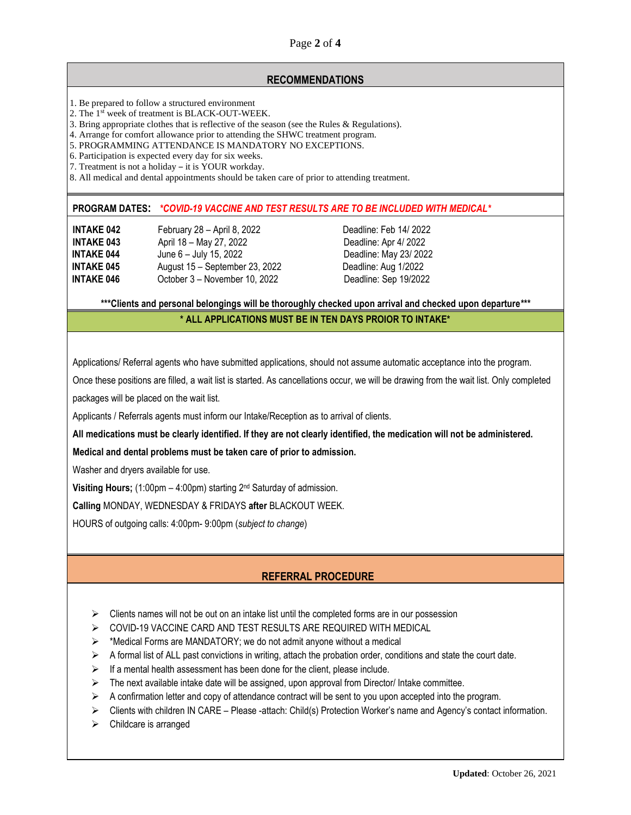Page **2** of **4**

## **RECOMMENDATIONS**

- 1. Be prepared to follow a structured environment
- 2. The 1st week of treatment is BLACK-OUT-WEEK.
- 3. Bring appropriate clothes that is reflective of the season (see the Rules & Regulations).
- 4. Arrange for comfort allowance prior to attending the SHWC treatment program.
- 5. PROGRAMMING ATTENDANCE IS MANDATORY NO EXCEPTIONS.
- 6. Participation is expected every day for six weeks.
- 7. Treatment is not a holiday it is YOUR workday.
- 8. All medical and dental appointments should be taken care of prior to attending treatment.

#### **PROGRAM DATES:** *\*COVID-19 VACCINE AND TEST RESULTS ARE TO BE INCLUDED WITH MEDICAL\**

**INTAKE 042** February 28 – April 8, 2022 Deadline: Feb 14/ 2022 **INTAKE 043** April 18 – May 27, 2022 Deadline: Apr 4/ 2022 **INTAKE 044** June 6 – July 15, 2022 Deadline: May 23/ 2022 **INTAKE 045** August 15 – September 23, 2022 Deadline: Aug 1/2022 **INTAKE 046** October 3 – November 10, 2022 Deadline: Sep 19/2022

**\*\*\*Clients and personal belongings will be thoroughly checked upon arrival and checked upon departure\*\*\***

#### **\* ALL APPLICATIONS MUST BE IN TEN DAYS PROIOR TO INTAKE\***

Applications/ Referral agents who have submitted applications, should not assume automatic acceptance into the program.

Once these positions are filled, a wait list is started. As cancellations occur, we will be drawing from the wait list. Only completed packages will be placed on the wait list.

Applicants / Referrals agents must inform our Intake/Reception as to arrival of clients.

**All medications must be clearly identified. If they are not clearly identified, the medication will not be administered.** 

**Medical and dental problems must be taken care of prior to admission.** 

Washer and dryers available for use.

**Visiting Hours;** (1:00pm – 4:00pm) starting 2nd Saturday of admission.

**Calling** MONDAY, WEDNESDAY & FRIDAYS **after** BLACKOUT WEEK.

HOURS of outgoing calls: 4:00pm- 9:00pm (*subject to change*)

# **REFERRAL PROCEDURE**

- $\triangleright$  Clients names will not be out on an intake list until the completed forms are in our possession
- ➢ COVID-19 VACCINE CARD AND TEST RESULTS ARE REQUIRED WITH MEDICAL
- ➢ \*Medical Forms are MANDATORY; we do not admit anyone without a medical
- $\triangleright$  A formal list of ALL past convictions in writing, attach the probation order, conditions and state the court date.
- $\triangleright$  If a mental health assessment has been done for the client, please include.
- $\triangleright$  The next available intake date will be assigned, upon approval from Director/ Intake committee.
- $\triangleright$  A confirmation letter and copy of attendance contract will be sent to you upon accepted into the program.
- ➢ Clients with children IN CARE Please -attach: Child(s) Protection Worker's name and Agency's contact information.
- ➢ Childcare is arranged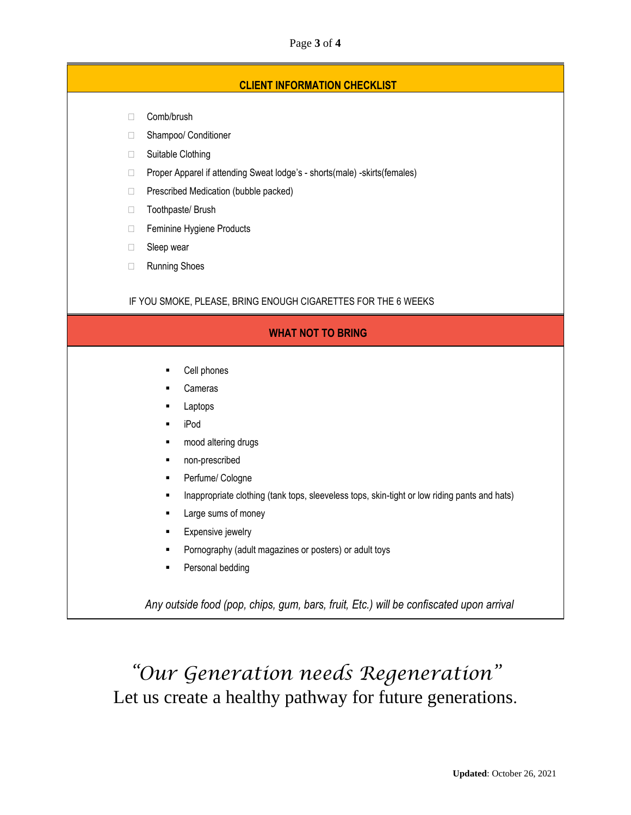### Page **3** of **4**

## **CLIENT INFORMATION CHECKLIST**

- □ Comb/brush
- □ Shampoo/ Conditioner
- □ Suitable Clothing
- □ Proper Apparel if attending Sweat lodge's shorts(male) -skirts(females)
- **Prescribed Medication (bubble packed)**
- □ Toothpaste/ Brush
- □ Feminine Hygiene Products
- □ Sleep wear
- □ Running Shoes

IF YOU SMOKE, PLEASE, BRING ENOUGH CIGARETTES FOR THE 6 WEEKS

#### **WHAT NOT TO BRING**

- Cell phones
- **Cameras**
- **Laptops**
- iPod
- mood altering drugs
- non-prescribed
- Perfume/ Cologne
- **■** Inappropriate clothing (tank tops, sleeveless tops, skin-tight or low riding pants and hats)
- Large sums of money
- **Expensive jewelry**
- Pornography (adult magazines or posters) or adult toys
- Personal bedding

*Any outside food (pop, chips, gum, bars, fruit, Etc.) will be confiscated upon arrival*

*"Our Generation needs Regeneration"* Let us create a healthy pathway for future generations.